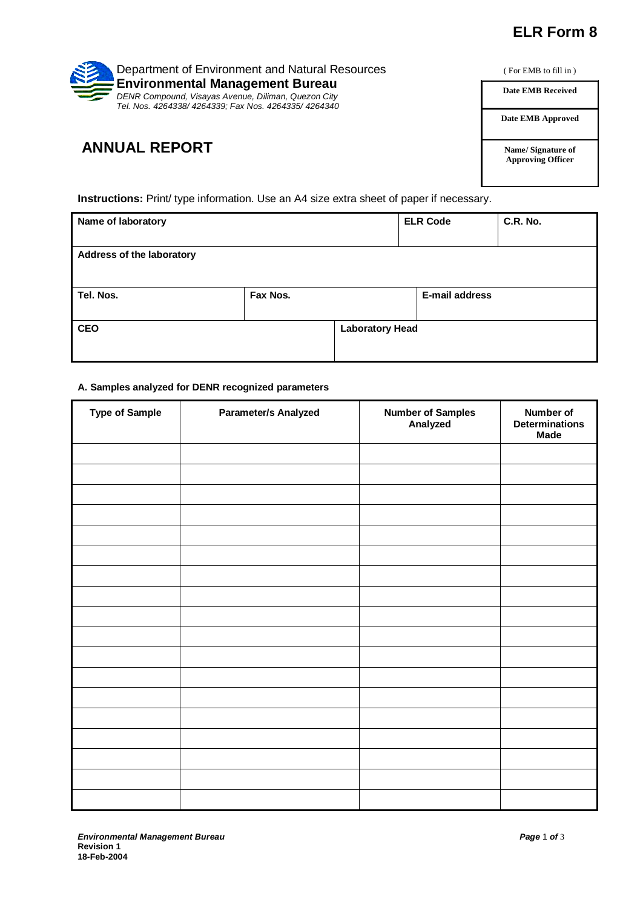# **ELR Form 8**



## **ANNUAL REPORT**

( For EMB to fill in )

**Date EMB Received**

**Date EMB Approved**

**Name/ Signature of Approving Officer**

**Instructions:** Print/ type information. Use an A4 size extra sheet of paper if necessary.

| Name of laboratory        |          |                        | <b>ELR Code</b> | C.R. No. |
|---------------------------|----------|------------------------|-----------------|----------|
| Address of the laboratory |          |                        |                 |          |
| Tel. Nos.                 | Fax Nos. |                        | E-mail address  |          |
| <b>CEO</b>                |          | <b>Laboratory Head</b> |                 |          |

### **A. Samples analyzed for DENR recognized parameters**

| <b>Type of Sample</b> | Parameter/s Analyzed | <b>Number of Samples<br/>Analyzed</b> | Number of<br><b>Determinations</b><br><b>Made</b> |
|-----------------------|----------------------|---------------------------------------|---------------------------------------------------|
|                       |                      |                                       |                                                   |
|                       |                      |                                       |                                                   |
|                       |                      |                                       |                                                   |
|                       |                      |                                       |                                                   |
|                       |                      |                                       |                                                   |
|                       |                      |                                       |                                                   |
|                       |                      |                                       |                                                   |
|                       |                      |                                       |                                                   |
|                       |                      |                                       |                                                   |
|                       |                      |                                       |                                                   |
|                       |                      |                                       |                                                   |
|                       |                      |                                       |                                                   |
|                       |                      |                                       |                                                   |
|                       |                      |                                       |                                                   |
|                       |                      |                                       |                                                   |
|                       |                      |                                       |                                                   |
|                       |                      |                                       |                                                   |
|                       |                      |                                       |                                                   |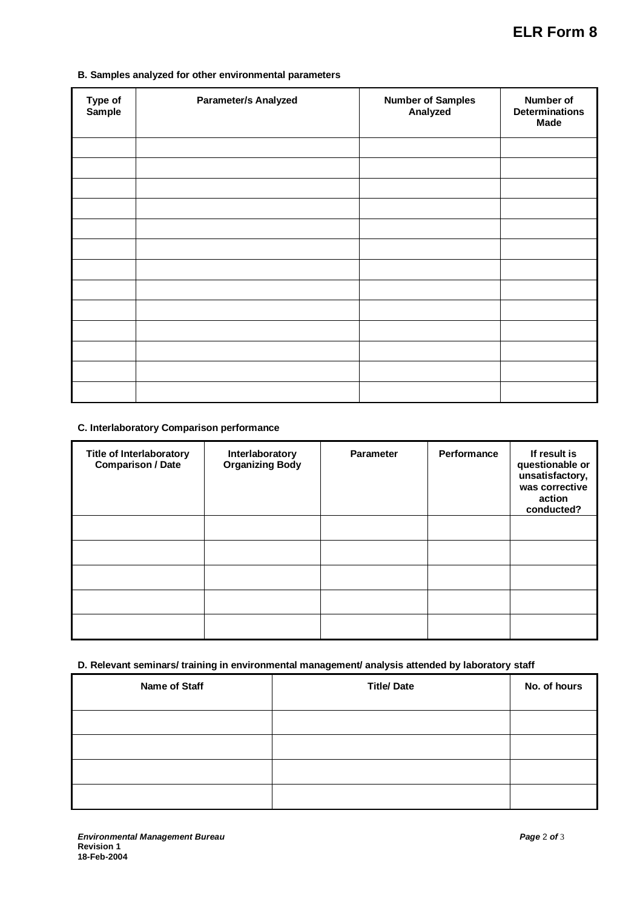#### **B. Samples analyzed for other environmental parameters**

| Type of<br>Sample | <b>Parameter/s Analyzed</b> | <b>Number of Samples</b><br>Analyzed | Number of<br><b>Determinations</b><br><b>Made</b> |
|-------------------|-----------------------------|--------------------------------------|---------------------------------------------------|
|                   |                             |                                      |                                                   |
|                   |                             |                                      |                                                   |
|                   |                             |                                      |                                                   |
|                   |                             |                                      |                                                   |
|                   |                             |                                      |                                                   |
|                   |                             |                                      |                                                   |
|                   |                             |                                      |                                                   |
|                   |                             |                                      |                                                   |
|                   |                             |                                      |                                                   |
|                   |                             |                                      |                                                   |
|                   |                             |                                      |                                                   |
|                   |                             |                                      |                                                   |
|                   |                             |                                      |                                                   |

#### **C. Interlaboratory Comparison performance**

| <b>Title of Interlaboratory</b><br><b>Comparison / Date</b> | Interlaboratory<br><b>Organizing Body</b> | <b>Parameter</b> | Performance | If result is<br>questionable or<br>unsatisfactory,<br>was corrective<br>action<br>conducted? |
|-------------------------------------------------------------|-------------------------------------------|------------------|-------------|----------------------------------------------------------------------------------------------|
|                                                             |                                           |                  |             |                                                                                              |
|                                                             |                                           |                  |             |                                                                                              |
|                                                             |                                           |                  |             |                                                                                              |
|                                                             |                                           |                  |             |                                                                                              |
|                                                             |                                           |                  |             |                                                                                              |

#### **D. Relevant seminars/ training in environmental management/ analysis attended by laboratory staff**

| <b>Name of Staff</b> | <b>Title/Date</b> | No. of hours |
|----------------------|-------------------|--------------|
|                      |                   |              |
|                      |                   |              |
|                      |                   |              |
|                      |                   |              |